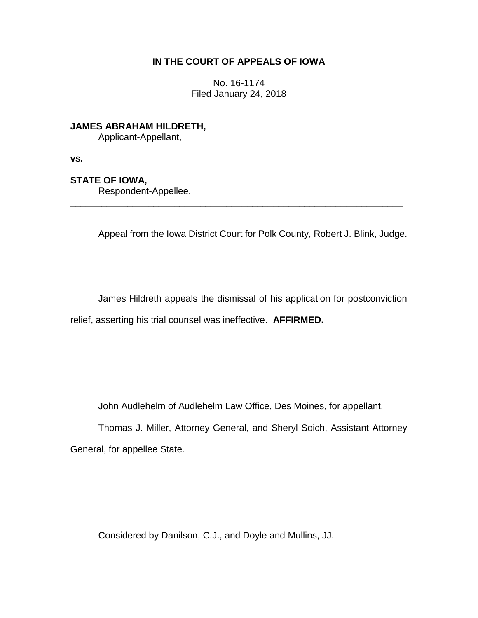## **IN THE COURT OF APPEALS OF IOWA**

No. 16-1174 Filed January 24, 2018

**JAMES ABRAHAM HILDRETH,**

Applicant-Appellant,

**vs.**

## **STATE OF IOWA,**

Respondent-Appellee.

Appeal from the Iowa District Court for Polk County, Robert J. Blink, Judge.

\_\_\_\_\_\_\_\_\_\_\_\_\_\_\_\_\_\_\_\_\_\_\_\_\_\_\_\_\_\_\_\_\_\_\_\_\_\_\_\_\_\_\_\_\_\_\_\_\_\_\_\_\_\_\_\_\_\_\_\_\_\_\_\_

James Hildreth appeals the dismissal of his application for postconviction relief, asserting his trial counsel was ineffective. **AFFIRMED.**

John Audlehelm of Audlehelm Law Office, Des Moines, for appellant.

Thomas J. Miller, Attorney General, and Sheryl Soich, Assistant Attorney General, for appellee State.

Considered by Danilson, C.J., and Doyle and Mullins, JJ.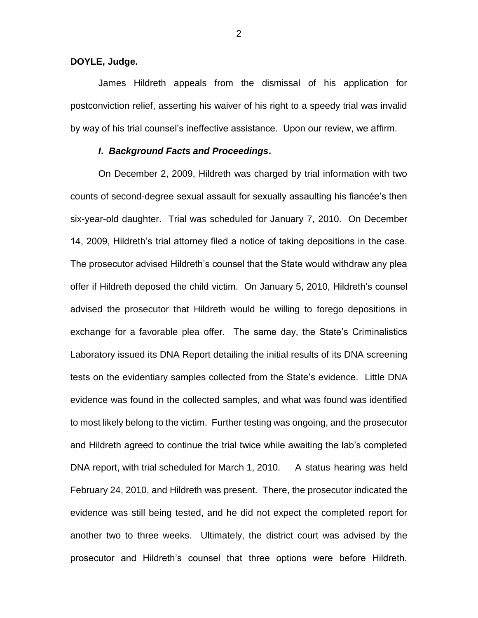**DOYLE, Judge.**

James Hildreth appeals from the dismissal of his application for postconviction relief, asserting his waiver of his right to a speedy trial was invalid by way of his trial counsel's ineffective assistance. Upon our review, we affirm.

## *I***.** *Background Facts and Proceedings***.**

On December 2, 2009, Hildreth was charged by trial information with two counts of second-degree sexual assault for sexually assaulting his fiancée's then six-year-old daughter. Trial was scheduled for January 7, 2010. On December 14, 2009, Hildreth's trial attorney filed a notice of taking depositions in the case. The prosecutor advised Hildreth's counsel that the State would withdraw any plea offer if Hildreth deposed the child victim. On January 5, 2010, Hildreth's counsel advised the prosecutor that Hildreth would be willing to forego depositions in exchange for a favorable plea offer. The same day, the State's Criminalistics Laboratory issued its DNA Report detailing the initial results of its DNA screening tests on the evidentiary samples collected from the State's evidence. Little DNA evidence was found in the collected samples, and what was found was identified to most likely belong to the victim. Further testing was ongoing, and the prosecutor and Hildreth agreed to continue the trial twice while awaiting the lab's completed DNA report, with trial scheduled for March 1, 2010. A status hearing was held February 24, 2010, and Hildreth was present. There, the prosecutor indicated the evidence was still being tested, and he did not expect the completed report for another two to three weeks. Ultimately, the district court was advised by the prosecutor and Hildreth's counsel that three options were before Hildreth.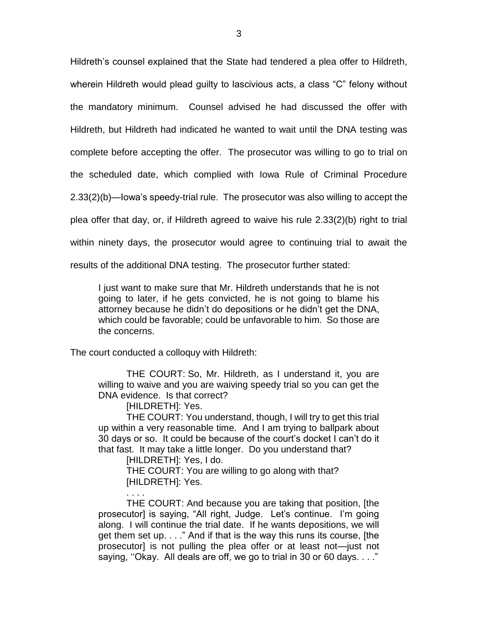Hildreth's counsel explained that the State had tendered a plea offer to Hildreth, wherein Hildreth would plead guilty to lascivious acts, a class "C" felony without the mandatory minimum. Counsel advised he had discussed the offer with Hildreth, but Hildreth had indicated he wanted to wait until the DNA testing was complete before accepting the offer. The prosecutor was willing to go to trial on the scheduled date, which complied with Iowa Rule of Criminal Procedure 2.33(2)(b)—Iowa's speedy-trial rule. The prosecutor was also willing to accept the plea offer that day, or, if Hildreth agreed to waive his rule 2.33(2)(b) right to trial within ninety days, the prosecutor would agree to continuing trial to await the results of the additional DNA testing. The prosecutor further stated:

I just want to make sure that Mr. Hildreth understands that he is not going to later, if he gets convicted, he is not going to blame his attorney because he didn't do depositions or he didn't get the DNA, which could be favorable; could be unfavorable to him. So those are the concerns.

The court conducted a colloquy with Hildreth:

THE COURT: So, Mr. Hildreth, as I understand it, you are willing to waive and you are waiving speedy trial so you can get the DNA evidence. Is that correct?

[HILDRETH]: Yes.

THE COURT: You understand, though, I will try to get this trial up within a very reasonable time. And I am trying to ballpark about 30 days or so. It could be because of the court's docket I can't do it that fast. It may take a little longer. Do you understand that?

[HILDRETH]: Yes, I do.

. . . .

THE COURT: You are willing to go along with that? [HILDRETH]: Yes.

THE COURT: And because you are taking that position, [the prosecutor] is saying, "All right, Judge. Let's continue. I'm going along. I will continue the trial date. If he wants depositions, we will get them set up. . . ." And if that is the way this runs its course, [the prosecutor] is not pulling the plea offer or at least not—just not saying, ''Okay. All deals are off, we go to trial in 30 or 60 days. . . ."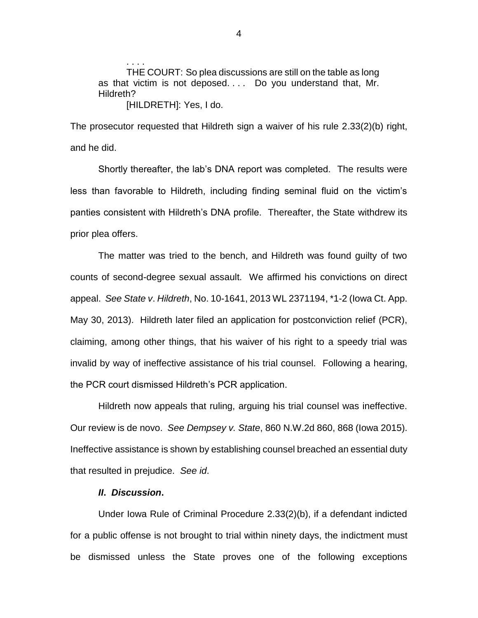THE COURT: So plea discussions are still on the table as long as that victim is not deposed. . . . Do you understand that, Mr. Hildreth? [HILDRETH]: Yes, I do.

The prosecutor requested that Hildreth sign a waiver of his rule 2.33(2)(b) right, and he did.

Shortly thereafter, the lab's DNA report was completed. The results were less than favorable to Hildreth, including finding seminal fluid on the victim's panties consistent with Hildreth's DNA profile. Thereafter, the State withdrew its prior plea offers.

The matter was tried to the bench, and Hildreth was found guilty of two counts of second-degree sexual assault. We affirmed his convictions on direct appeal. *See State v*. *Hildreth*, No. 10-1641, 2013 WL 2371194, \*1-2 (Iowa Ct. App. May 30, 2013). Hildreth later filed an application for postconviction relief (PCR), claiming, among other things, that his waiver of his right to a speedy trial was invalid by way of ineffective assistance of his trial counsel. Following a hearing, the PCR court dismissed Hildreth's PCR application.

Hildreth now appeals that ruling, arguing his trial counsel was ineffective. Our review is de novo. *See Dempsey v. State*, 860 N.W.2d 860, 868 (Iowa 2015). Ineffective assistance is shown by establishing counsel breached an essential duty that resulted in prejudice. *See id*.

## *II***.** *Discussion***.**

. . . .

Under Iowa Rule of Criminal Procedure 2.33(2)(b), if a defendant indicted for a public offense is not brought to trial within ninety days, the indictment must be dismissed unless the State proves one of the following exceptions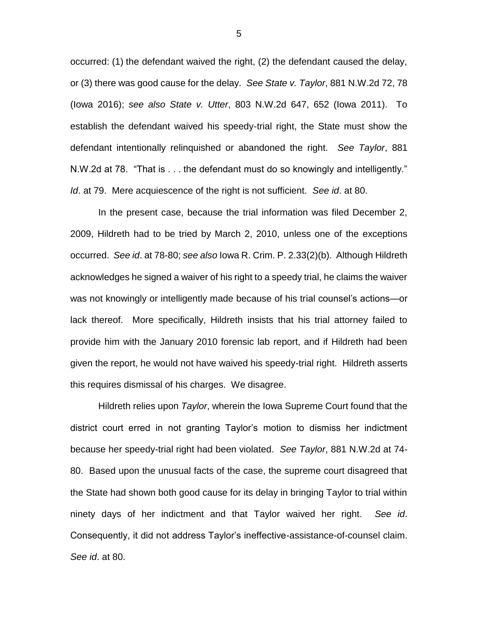occurred: (1) the defendant waived the right, (2) the defendant caused the delay, or (3) there was good cause for the delay. *See State v. Taylor*, 881 N.W.2d 72, 78 (Iowa 2016); *see also State v. Utter*, 803 N.W.2d 647, 652 (Iowa 2011). To establish the defendant waived his speedy-trial right, the State must show the defendant intentionally relinquished or abandoned the right. *See Taylor*, 881 N.W.2d at 78. "That is . . . the defendant must do so knowingly and intelligently." *Id*. at 79. Mere acquiescence of the right is not sufficient. *See id*. at 80.

In the present case, because the trial information was filed December 2, 2009, Hildreth had to be tried by March 2, 2010, unless one of the exceptions occurred. *See id*. at 78-80; *see also* Iowa R. Crim. P. 2.33(2)(b). Although Hildreth acknowledges he signed a waiver of his right to a speedy trial, he claims the waiver was not knowingly or intelligently made because of his trial counsel's actions—or lack thereof. More specifically, Hildreth insists that his trial attorney failed to provide him with the January 2010 forensic lab report, and if Hildreth had been given the report, he would not have waived his speedy-trial right. Hildreth asserts this requires dismissal of his charges. We disagree.

Hildreth relies upon *Taylor*, wherein the Iowa Supreme Court found that the district court erred in not granting Taylor's motion to dismiss her indictment because her speedy-trial right had been violated. *See Taylor*, 881 N.W.2d at 74- 80. Based upon the unusual facts of the case, the supreme court disagreed that the State had shown both good cause for its delay in bringing Taylor to trial within ninety days of her indictment and that Taylor waived her right. *See id*. Consequently, it did not address Taylor's ineffective-assistance-of-counsel claim. *See id*. at 80.

5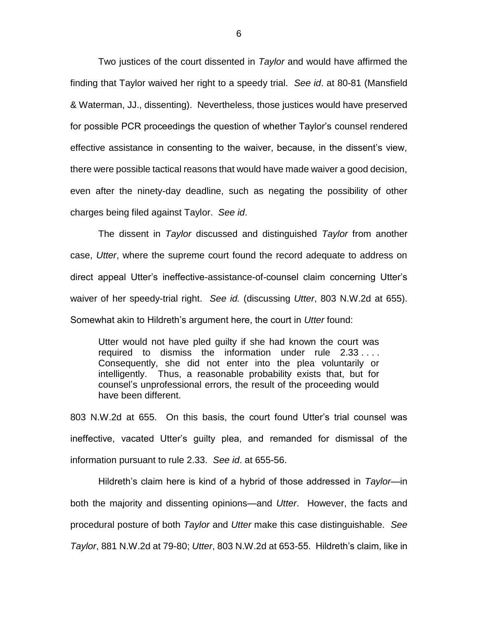Two justices of the court dissented in *Taylor* and would have affirmed the finding that Taylor waived her right to a speedy trial. *See id*. at 80-81 (Mansfield & Waterman, JJ., dissenting). Nevertheless, those justices would have preserved for possible PCR proceedings the question of whether Taylor's counsel rendered effective assistance in consenting to the waiver, because, in the dissent's view, there were possible tactical reasons that would have made waiver a good decision, even after the ninety-day deadline, such as negating the possibility of other charges being filed against Taylor. *See id*.

The dissent in *Taylor* discussed and distinguished *Taylor* from another case, *Utter*, where the supreme court found the record adequate to address on direct appeal Utter's ineffective-assistance-of-counsel claim concerning Utter's waiver of her speedy-trial right. *See id.* (discussing *Utter*, 803 N.W.2d at 655). Somewhat akin to Hildreth's argument here, the court in *Utter* found:

Utter would not have pled guilty if she had known the court was required to dismiss the information under rule 2.33 . . . . Consequently, she did not enter into the plea voluntarily or intelligently. Thus, a reasonable probability exists that, but for counsel's unprofessional errors, the result of the proceeding would have been different.

803 N.W.2d at 655. On this basis, the court found Utter's trial counsel was ineffective, vacated Utter's guilty plea, and remanded for dismissal of the information pursuant to rule 2.33. *See id*. at 655-56.

Hildreth's claim here is kind of a hybrid of those addressed in *Taylor*—in both the majority and dissenting opinions—and *Utter*. However, the facts and procedural posture of both *Taylor* and *Utter* make this case distinguishable. *See Taylor*, 881 N.W.2d at 79-80; *Utter*, 803 N.W.2d at 653-55. Hildreth's claim, like in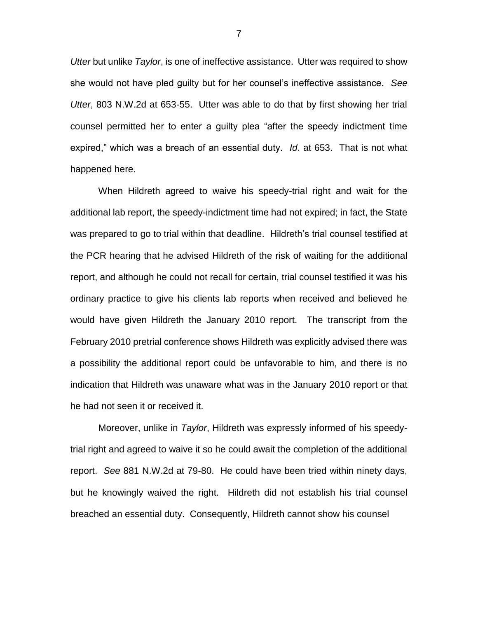*Utter* but unlike *Taylor*, is one of ineffective assistance. Utter was required to show she would not have pled guilty but for her counsel's ineffective assistance. *See Utter*, 803 N.W.2d at 653-55. Utter was able to do that by first showing her trial counsel permitted her to enter a guilty plea "after the speedy indictment time expired," which was a breach of an essential duty. *Id*. at 653. That is not what happened here.

When Hildreth agreed to waive his speedy-trial right and wait for the additional lab report, the speedy-indictment time had not expired; in fact, the State was prepared to go to trial within that deadline. Hildreth's trial counsel testified at the PCR hearing that he advised Hildreth of the risk of waiting for the additional report, and although he could not recall for certain, trial counsel testified it was his ordinary practice to give his clients lab reports when received and believed he would have given Hildreth the January 2010 report. The transcript from the February 2010 pretrial conference shows Hildreth was explicitly advised there was a possibility the additional report could be unfavorable to him, and there is no indication that Hildreth was unaware what was in the January 2010 report or that he had not seen it or received it.

Moreover, unlike in *Taylor*, Hildreth was expressly informed of his speedytrial right and agreed to waive it so he could await the completion of the additional report. *See* 881 N.W.2d at 79-80. He could have been tried within ninety days, but he knowingly waived the right. Hildreth did not establish his trial counsel breached an essential duty. Consequently, Hildreth cannot show his counsel

7